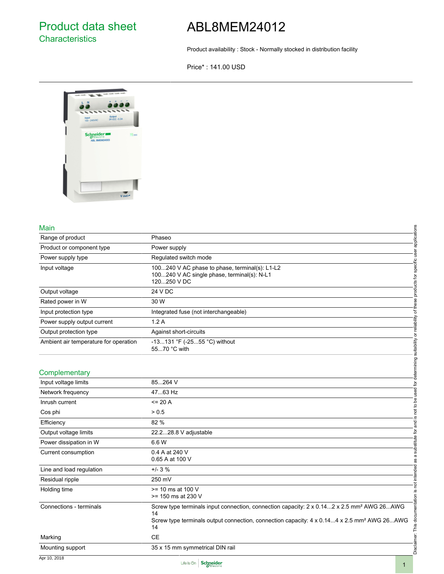Product availability : Stock - Normally stocked in distribution facility

Price\* : 141.00 USD



## Main

| Main                                  |                                                                                                                                                                                                                                 |                                                     |
|---------------------------------------|---------------------------------------------------------------------------------------------------------------------------------------------------------------------------------------------------------------------------------|-----------------------------------------------------|
| Range of product                      | Phaseo                                                                                                                                                                                                                          | applications                                        |
| Product or component type             | Power supply                                                                                                                                                                                                                    |                                                     |
| Power supply type                     | Regulated switch mode                                                                                                                                                                                                           |                                                     |
| Input voltage                         | 100240 V AC phase to phase, terminal(s): L1-L2<br>100240 V AC single phase, terminal(s): N-L1<br>120250 V DC                                                                                                                    |                                                     |
| Output voltage                        | 24 V DC                                                                                                                                                                                                                         | products for specific user                          |
| Rated power in W                      | 30 W                                                                                                                                                                                                                            | of these                                            |
| Input protection type                 | Integrated fuse (not interchangeable)                                                                                                                                                                                           |                                                     |
| Power supply output current           | 1.2A                                                                                                                                                                                                                            |                                                     |
| Output protection type                | Against short-circuits                                                                                                                                                                                                          | or reliability                                      |
| Ambient air temperature for operation | -13131 °F (-2555 °C) without<br>5570 °C with                                                                                                                                                                                    |                                                     |
| Complementary                         |                                                                                                                                                                                                                                 | not to be used for determining suitability          |
| Input voltage limits                  | 85264 V                                                                                                                                                                                                                         |                                                     |
| Network frequency                     | 4763 Hz                                                                                                                                                                                                                         |                                                     |
| Inrush current                        | $= 20 A$                                                                                                                                                                                                                        |                                                     |
| Cos phi                               | > 0.5                                                                                                                                                                                                                           |                                                     |
| Efficiency                            | 82 %                                                                                                                                                                                                                            | . <u>ഗ</u><br>and                                   |
| Output voltage limits                 | 22.228.8 V adjustable                                                                                                                                                                                                           |                                                     |
| Power dissipation in W                | 6.6 W                                                                                                                                                                                                                           | substitute for                                      |
| Current consumption                   | 0.4 A at 240 V<br>0.65 A at 100 V                                                                                                                                                                                               |                                                     |
| Line and load regulation              | $+/- 3 \%$                                                                                                                                                                                                                      |                                                     |
| Residual ripple                       | 250 mV                                                                                                                                                                                                                          |                                                     |
| Holding time                          | $>= 10$ ms at 100 V<br>$>= 150$ ms at 230 V                                                                                                                                                                                     |                                                     |
| Connections - terminals               | Screw type terminals input connection, connection capacity: 2 x 0.14  2 x 2.5 mm <sup>2</sup> AWG 26  AWG<br>14<br>Screw type terminals output connection, connection capacity: 4 x 0.144 x 2.5 mm <sup>2</sup> AWG 26AWG<br>14 | Disclaimer: This documentation is not intended as a |
| Marking                               | <b>CE</b>                                                                                                                                                                                                                       |                                                     |
| Mounting support                      | 35 x 15 mm symmetrical DIN rail                                                                                                                                                                                                 |                                                     |

| . <i>.</i>               |                                                                                                                                                                                                                             |
|--------------------------|-----------------------------------------------------------------------------------------------------------------------------------------------------------------------------------------------------------------------------|
| Input voltage limits     | 85264 V                                                                                                                                                                                                                     |
| Network frequency        | 4763 Hz                                                                                                                                                                                                                     |
| Inrush current           | $= 20 A$                                                                                                                                                                                                                    |
| Cos phi                  | > 0.5                                                                                                                                                                                                                       |
| Efficiency               | 82 %                                                                                                                                                                                                                        |
| Output voltage limits    | 22.228.8 V adjustable                                                                                                                                                                                                       |
| Power dissipation in W   | 6.6 W                                                                                                                                                                                                                       |
| Current consumption      | 0.4 A at 240 V<br>0.65 A at 100 V                                                                                                                                                                                           |
| Line and load regulation | $+/- 3 \%$                                                                                                                                                                                                                  |
| Residual ripple          | 250 mV                                                                                                                                                                                                                      |
| Holding time             | $>= 10$ ms at 100 V<br>$>= 150$ ms at 230 V                                                                                                                                                                                 |
| Connections - terminals  | Screw type terminals input connection, connection capacity: 2 x 0.142 x 2.5 mm <sup>2</sup> AWG 26AWG<br>14<br>Screw type terminals output connection, connection capacity: 4 x 0.144 x 2.5 mm <sup>2</sup> AWG 26AWG<br>14 |
| Marking                  | CE                                                                                                                                                                                                                          |
| Mounting support         | 35 x 15 mm symmetrical DIN rail                                                                                                                                                                                             |

Apr 10, 2018

Life Is On Schneider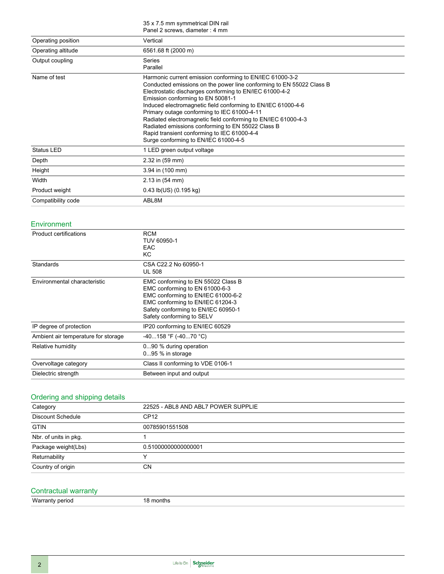| 35 x 7.5 mm symmetrical DIN rail |  |  |
|----------------------------------|--|--|
| Panel 2 screws, diameter: 4 mm   |  |  |

| Operating position | Vertical                                                                                                                                                                                                                                                                                                                                                                                                                                                                                                                                                     |
|--------------------|--------------------------------------------------------------------------------------------------------------------------------------------------------------------------------------------------------------------------------------------------------------------------------------------------------------------------------------------------------------------------------------------------------------------------------------------------------------------------------------------------------------------------------------------------------------|
| Operating altitude | 6561.68 ft (2000 m)                                                                                                                                                                                                                                                                                                                                                                                                                                                                                                                                          |
| Output coupling    | Series<br>Parallel                                                                                                                                                                                                                                                                                                                                                                                                                                                                                                                                           |
| Name of test       | Harmonic current emission conforming to EN/IEC 61000-3-2<br>Conducted emissions on the power line conforming to EN 55022 Class B<br>Electrostatic discharges conforming to EN/IEC 61000-4-2<br>Emission conforming to EN 50081-1<br>Induced electromagnetic field conforming to EN/IEC 61000-4-6<br>Primary outage conforming to IEC 61000-4-11<br>Radiated electromagnetic field conforming to EN/IEC 61000-4-3<br>Radiated emissions conforming to EN 55022 Class B<br>Rapid transient conforming to IEC 61000-4-4<br>Surge conforming to EN/IEC 61000-4-5 |
| <b>Status LED</b>  | 1 LED green output voltage                                                                                                                                                                                                                                                                                                                                                                                                                                                                                                                                   |
| Depth              | 2.32 in (59 mm)                                                                                                                                                                                                                                                                                                                                                                                                                                                                                                                                              |
| Height             | 3.94 in (100 mm)                                                                                                                                                                                                                                                                                                                                                                                                                                                                                                                                             |
| Width              | 2.13 in (54 mm)                                                                                                                                                                                                                                                                                                                                                                                                                                                                                                                                              |
| Product weight     | $0.43$ lb(US) $(0.195$ kg)                                                                                                                                                                                                                                                                                                                                                                                                                                                                                                                                   |
| Compatibility code | ABL8M                                                                                                                                                                                                                                                                                                                                                                                                                                                                                                                                                        |

## Environment

| <b>Product certifications</b>       | <b>RCM</b><br>TUV 60950-1<br><b>EAC</b><br>KC.                                                                                                                                                                     |
|-------------------------------------|--------------------------------------------------------------------------------------------------------------------------------------------------------------------------------------------------------------------|
| <b>Standards</b>                    | CSA C22.2 No 60950-1<br><b>UL 508</b>                                                                                                                                                                              |
| Environmental characteristic        | EMC conforming to EN 55022 Class B<br>EMC conforming to EN 61000-6-3<br>EMC conforming to EN/IEC 61000-6-2<br>EMC conforming to EN/IEC 61204-3<br>Safety conforming to EN/IEC 60950-1<br>Safety conforming to SELV |
| IP degree of protection             | IP20 conforming to EN/IEC 60529                                                                                                                                                                                    |
| Ambient air temperature for storage | $-40158$ °F (-4070 °C)                                                                                                                                                                                             |
| Relative humidity                   | 090 % during operation<br>$095%$ in storage                                                                                                                                                                        |
| Overvoltage category                | Class II conforming to VDE 0106-1                                                                                                                                                                                  |
| Dielectric strength                 | Between input and output                                                                                                                                                                                           |

## Ordering and shipping details

| Category                 | 22525 - ABL8 AND ABL7 POWER SUPPLIE |
|--------------------------|-------------------------------------|
| <b>Discount Schedule</b> | CP <sub>12</sub>                    |
| <b>GTIN</b>              | 00785901551508                      |
| Nbr. of units in pkg.    |                                     |
| Package weight(Lbs)      | 0.51000000000000001                 |
| Returnability            |                                     |
| Country of origin        | СN                                  |

# Contractual warranty

Warranty period 18 months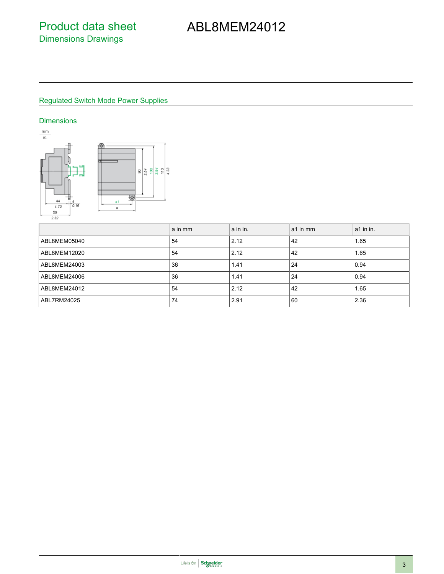## Regulated Switch Mode Power Supplies

### **Dimensions**



|              | a in mm | a in in. | a1 in mm | a1 in in. |
|--------------|---------|----------|----------|-----------|
| ABL8MEM05040 | 54      | 2.12     | 42       | 1.65      |
| ABL8MEM12020 | 54      | 2.12     | 42       | 1.65      |
| ABL8MEM24003 | 36      | 1.41     | 24       | 0.94      |
| ABL8MEM24006 | 36      | 1.41     | 24       | 0.94      |
| ABL8MEM24012 | 54      | 2.12     | 42       | 1.65      |
| ABL7RM24025  | 74      | 2.91     | 60       | 2.36      |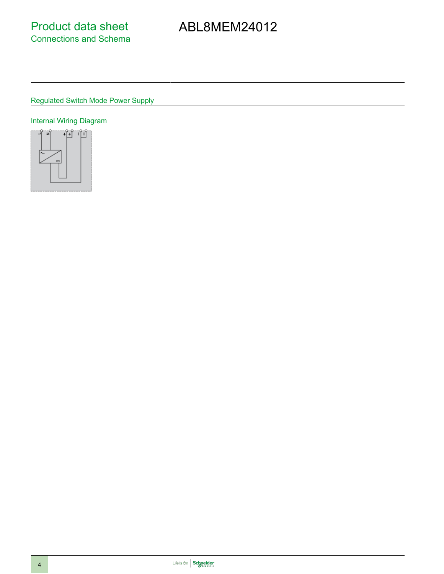Regulated Switch Mode Power Supply

# Internal Wiring Diagram

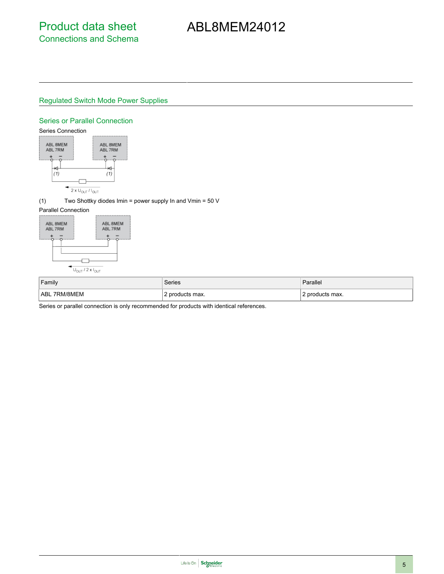## Regulated Switch Mode Power Supplies

#### Series or Parallel Connection



(1) Two Shottky diodes Imin = power supply In and Vmin = 50 V

### Parallel Connection



| Family            | Series          | Parallel        |
|-------------------|-----------------|-----------------|
| 7RM/8MEM<br>l ABL | ' products max. | ' products max. |

Series or parallel connection is only recommended for products with identical references.